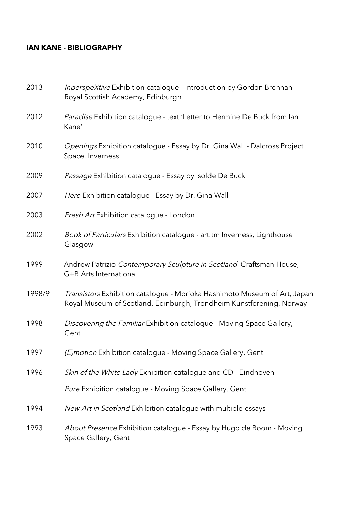## **IAN KANE - BIBLIOGRAPHY**

| 2013   | InperspeXtive Exhibition catalogue - Introduction by Gordon Brennan<br>Royal Scottish Academy, Edinburgh                                          |
|--------|---------------------------------------------------------------------------------------------------------------------------------------------------|
| 2012   | Paradise Exhibition catalogue - text 'Letter to Hermine De Buck from lan<br>Kane'                                                                 |
| 2010   | Openings Exhibition catalogue - Essay by Dr. Gina Wall - Dalcross Project<br>Space, Inverness                                                     |
| 2009   | Passage Exhibition catalogue - Essay by Isolde De Buck                                                                                            |
| 2007   | Here Exhibition catalogue - Essay by Dr. Gina Wall                                                                                                |
| 2003   | Fresh Art Exhibition catalogue - London                                                                                                           |
| 2002   | Book of Particulars Exhibition catalogue - art.tm Inverness, Lighthouse<br>Glasgow                                                                |
| 1999   | Andrew Patrizio Contemporary Sculpture in Scotland Craftsman House,<br>G+B Arts International                                                     |
| 1998/9 | Transistors Exhibition catalogue - Morioka Hashimoto Museum of Art, Japan<br>Royal Museum of Scotland, Edinburgh, Trondheim Kunstforening, Norway |
| 1998   | Discovering the Familiar Exhibition catalogue - Moving Space Gallery,<br>Gent                                                                     |
| 1997   | (E)motion Exhibition catalogue - Moving Space Gallery, Gent                                                                                       |
| 1996   | Skin of the White Lady Exhibition catalogue and CD - Eindhoven                                                                                    |
|        | Pure Exhibition catalogue - Moving Space Gallery, Gent                                                                                            |
| 1994   | New Art in Scotland Exhibition catalogue with multiple essays                                                                                     |
| 1993   | About Presence Exhibition catalogue - Essay by Hugo de Boom - Moving<br>Space Gallery, Gent                                                       |